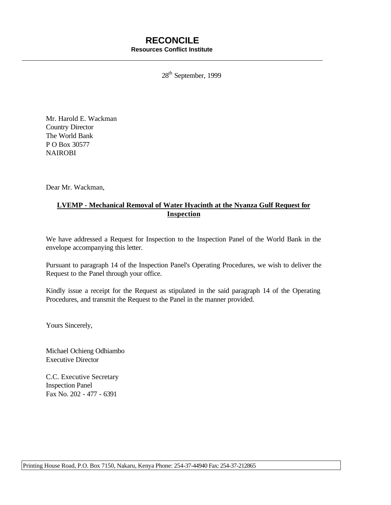# **RECONCILE Resources Conflict Institute**

28<sup>th</sup> September, 1999

Mr. Harold E. Wackman Country Director The World Bank P O Box 30577 NAIROBI

Dear Mr. Wackman,

# **LVEMP - Mechanical Removal of Water Hyacinth at the Nyanza Gulf Request for Inspection**

We have addressed a Request for Inspection to the Inspection Panel of the World Bank in the envelope accompanying this letter.

Pursuant to paragraph 14 of the Inspection Panel's Operating Procedures, we wish to deliver the Request to the Panel through your office.

Kindly issue a receipt for the Request as stipulated in the said paragraph 14 of the Operating Procedures, and transmit the Request to the Panel in the manner provided.

Yours Sincerely,

Michael Ochieng Odhiambo Executive Director

C.C. Executive Secretary Inspection Panel Fax No. 202 - 477 - 6391

Printing House Road, P.O. Box 7150, Nakaru, Kenya Phone: 254-37-44940 Fax: 254-37-212865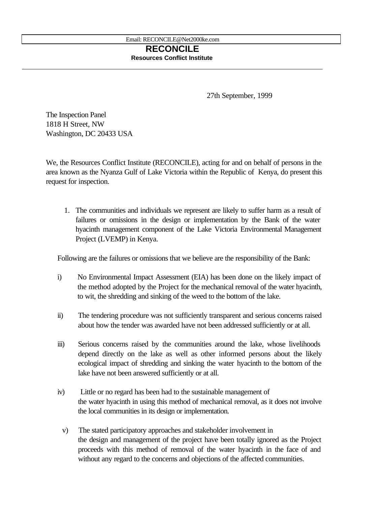# **RECONCILE Resources Conflict Institute**

27th September, 1999

The Inspection Panel 1818 H Street, NW Washington, DC 20433 USA

We, the Resources Conflict Institute (RECONCILE), acting for and on behalf of persons in the area known as the Nyanza Gulf of Lake Victoria within the Republic of Kenya, do present this request for inspection.

1. The communities and individuals we represent are likely to suffer harm as a result of failures or omissions in the design or implementation by the Bank of the water hyacinth management component of the Lake Victoria Environmental Management Project (LVEMP) in Kenya.

Following are the failures or omissions that we believe are the responsibility of the Bank:

- i) No Environmental Impact Assessment (EIA) has been done on the likely impact of the method adopted by the Project for the mechanical removal of the water hyacinth, to wit, the shredding and sinking of the weed to the bottom of the lake.
- ii) The tendering procedure was not sufficiently transparent and serious concerns raised about how the tender was awarded have not been addressed sufficiently or at all.
- iii) Serious concerns raised by the communities around the lake, whose livelihoods depend directly on the lake as well as other informed persons about the likely ecological impact of shredding and sinking the water hyacinth to the bottom of the lake have not been answered sufficiently or at all.
- iv) Little or no regard has been had to the sustainable management of the water hyacinth in using this method of mechanical removal, as it does not involve the local communities in its design or implementation.
- v) The stated participatory approaches and stakeholder involvement in the design and management of the project have been totally ignored as the Project proceeds with this method of removal of the water hyacinth in the face of and without any regard to the concerns and objections of the affected communities.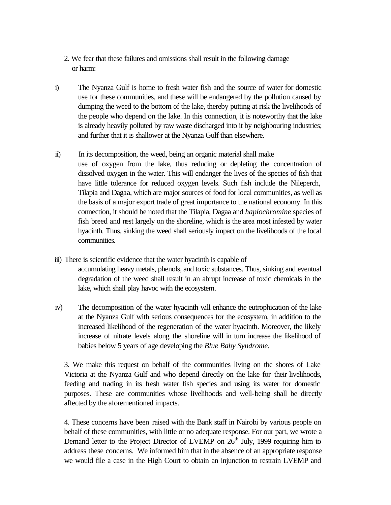- 2. We fear that these failures and omissions shall result in the following damage or harm:
- i) The Nyanza Gulf is home to fresh water fish and the source of water for domestic use for these communities, and these will be endangered by the pollution caused by dumping the weed to the bottom of the lake, thereby putting at risk the livelihoods of the people who depend on the lake. In this connection, it is noteworthy that the lake is already heavily polluted by raw waste discharged into it by neighbouring industries; and further that it is shallower at the Nyanza Gulf than elsewhere.
- ii) In its decomposition, the weed, being an organic material shall make use of oxygen from the lake, thus reducing or depleting the concentration of dissolved oxygen in the water. This will endanger the lives of the species of fish that have little tolerance for reduced oxygen levels. Such fish include the Nileperch, Tilapia and Dagaa, which are major sources of food for local communities, as well as the basis of a major export trade of great importance to the national economy. In this connection, it should be noted that the Tilapia, Dagaa and *haplochromine* species of fish breed and nest largely on the shoreline, which is the area most infested by water hyacinth. Thus, sinking the weed shall seriously impact on the livelihoods of the local communities.
- iii) There is scientific evidence that the water hyacinth is capable of accumulating heavy metals, phenols, and toxic substances. Thus, sinking and eventual degradation of the weed shall result in an abrupt increase of toxic chemicals in the lake, which shall play havoc with the ecosystem.
- iv) The decomposition of the water hyacinth will enhance the eutrophication of the lake at the Nyanza Gulf with serious consequences for the ecosystem, in addition to the increased likelihood of the regeneration of the water hyacinth. Moreover, the likely increase of nitrate levels along the shoreline will in turn increase the likelihood of babies below 5 years of age developing the *Blue Baby Syndrome.*

3. We make this request on behalf of the communities living on the shores of Lake Victoria at the Nyanza Gulf and who depend directly on the lake for their livelihoods, feeding and trading in its fresh water fish species and using its water for domestic purposes. These are communities whose livelihoods and well-being shall be directly affected by the aforementioned impacts.

4. These concerns have been raised with the Bank staff in Nairobi by various people on behalf of these communities, with little or no adequate response. For our part, we wrote a Demand letter to the Project Director of LVEMP on  $26<sup>th</sup>$  July, 1999 requiring him to address these concerns. We informed him that in the absence of an appropriate response we would file a case in the High Court to obtain an injunction to restrain LVEMP and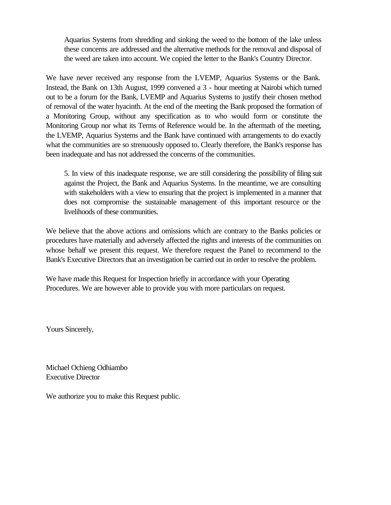Aquarius Systems from shredding and sinking the weed to the bottom of the lake unless these concerns are addressed and the alternative methods for the removal and disposal of the weed are taken into account. We copied the letter to the Bank's Country Director.

We have never received any response from the LVEMP, Aquarius Systems or the Bank. Instead, the Bank on 13th August, 1999 convened a 3 - hour meeting at Nairobi which turned out to be a forum for the Bank, LVEMP and Aquarius Systems to justify their chosen method of removal of the water hyacinth. At the end of the meeting the Bank proposed the formation of a Monitoring Group, without any specification as to who would form or constitute the Monitoring Group nor what its Terms of Reference would be. In the aftermath of the meeting, the LVEMP, Aquarius Systems and the Bank have continued with arrangements to do exactly what the communities are so strenuously opposed to. Clearly therefore, the Bank's response has been inadequate and has not addressed the concerns of the communities.

5. In view of this inadequate response, we are still considering the possibility of filing suit against the Project, the Bank and Aquarius Systems. In the meantime, we are consulting with stakeholders with a view to ensuring that the project is implemented in a manner that does not compromise the sustainable management of this important resource or the livelihoods of these communities.

We believe that the above actions and omissions which are contrary to the Banks policies or procedures have materially and adversely affected the rights and interests of the communities on whose behalf we present this request. We therefore request the Panel to recommend to the Bank's Executive Directors that an investigation be carried out in order to resolve the problem.

We have made this Request for Inspection briefly in accordance with your Operating Procedures. We are however able to provide you with more particulars on request.

Yours Sincerely,

Michael Ochieng Odhiambo Executive Director

We authorize you to make this Request public.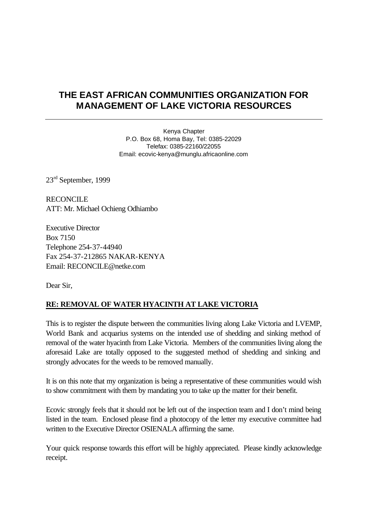# **THE EAST AFRICAN COMMUNITIES ORGANIZATION FOR MANAGEMENT OF LAKE VICTORIA RESOURCES**

Kenya Chapter P.O. Box 68, Homa Bay, Tel: 0385-22029 Telefax: 0385-22160/22055 Email: ecovic-kenya@munglu.africaonline.com

23rd September, 1999

**RECONCILE** ATT: Mr. Michael Ochieng Odhiambo

Executive Director Box 7150 Telephone 254-37-44940 Fax 254-37-212865 NAKAR-KENYA Email: RECONCILE@netke.com

Dear Sir,

# **RE: REMOVAL OF WATER HYACINTH AT LAKE VICTORIA**

This is to register the dispute between the communities living along Lake Victoria and LVEMP, World Bank and acquarius systems on the intended use of shedding and sinking method of removal of the water hyacinth from Lake Victoria. Members of the communities living along the aforesaid Lake are totally opposed to the suggested method of shedding and sinking and strongly advocates for the weeds to be removed manually.

It is on this note that my organization is being a representative of these communities would wish to show commitment with them by mandating you to take up the matter for their benefit.

Ecovic strongly feels that it should not be left out of the inspection team and I don't mind being listed in the team. Enclosed please find a photocopy of the letter my executive committee had written to the Executive Director OSIENALA affirming the same.

Your quick response towards this effort will be highly appreciated. Please kindly acknowledge receipt.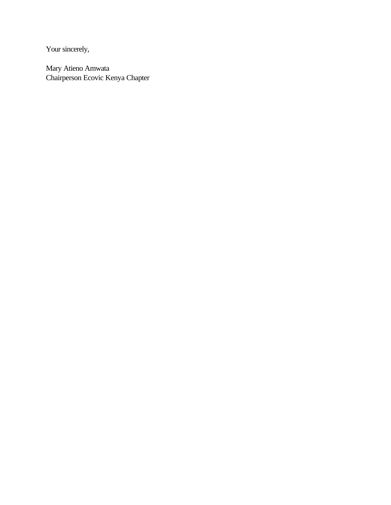Your sincerely,

Mary Atieno Amwata Chairperson Ecovic Kenya Chapter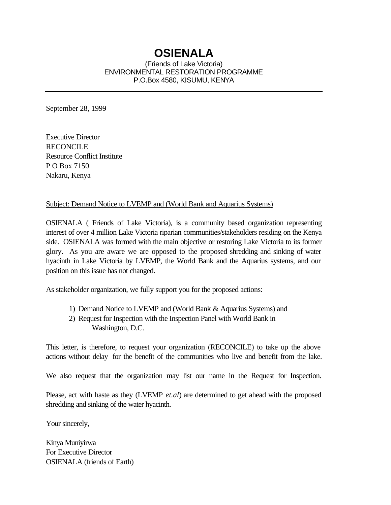# **OSIENALA**

(Friends of Lake Victoria) ENVIRONMENTAL RESTORATION PROGRAMME P.O.Box 4580, KISUMU, KENYA

September 28, 1999

Executive Director RECONCILE Resource Conflict Institute P O Box 7150 Nakaru, Kenya

#### Subject: Demand Notice to LVEMP and (World Bank and Aquarius Systems)

OSIENALA ( Friends of Lake Victoria), is a community based organization representing interest of over 4 million Lake Victoria riparian communities/stakeholders residing on the Kenya side. OSIENALA was formed with the main objective or restoring Lake Victoria to its former glory. As you are aware we are opposed to the proposed shredding and sinking of water hyacinth in Lake Victoria by LVEMP, the World Bank and the Aquarius systems, and our position on this issue has not changed.

As stakeholder organization, we fully support you for the proposed actions:

- 1) Demand Notice to LVEMP and (World Bank & Aquarius Systems) and
- 2) Request for Inspection with the Inspection Panel with World Bank in Washington, D.C.

This letter, is therefore, to request your organization (RECONCILE) to take up the above actions without delay for the benefit of the communities who live and benefit from the lake.

We also request that the organization may list our name in the Request for Inspection.

Please, act with haste as they (LVEMP *et.al*) are determined to get ahead with the proposed shredding and sinking of the water hyacinth.

Your sincerely,

Kinya Muniyirwa For Executive Director OSIENALA (friends of Earth)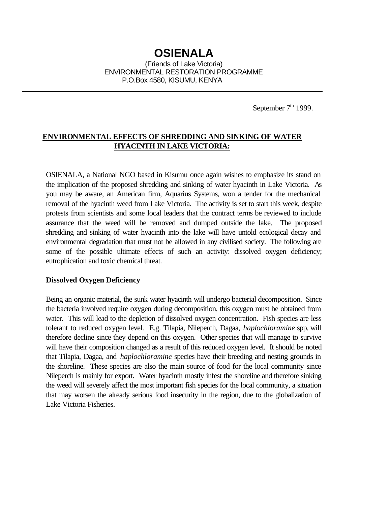September  $7<sup>th</sup>$  1999.

# **ENVIRONMENTAL EFFECTS OF SHREDDING AND SINKING OF WATER HYACINTH IN LAKE VICTORIA:**

OSIENALA, a National NGO based in Kisumu once again wishes to emphasize its stand on the implication of the proposed shredding and sinking of water hyacinth in Lake Victoria. As you may be aware, an American firm, Aquarius Systems, won a tender for the mechanical removal of the hyacinth weed from Lake Victoria. The activity is set to start this week, despite protests from scientists and some local leaders that the contract terms be reviewed to include assurance that the weed will be removed and dumped outside the lake. The proposed shredding and sinking of water hyacinth into the lake will have untold ecological decay and environmental degradation that must not be allowed in any civilised society. The following are some of the possible ultimate effects of such an activity: dissolved oxygen deficiency; eutrophication and toxic chemical threat.

#### **Dissolved Oxygen Deficiency**

Being an organic material, the sunk water hyacinth will undergo bacterial decomposition. Since the bacteria involved require oxygen during decomposition, this oxygen must be obtained from water. This will lead to the depletion of dissolved oxygen concentration. Fish species are less tolerant to reduced oxygen level. E.g. Tilapia, Nileperch, Dagaa, *haplochloramine* spp. will therefore decline since they depend on this oxygen. Other species that will manage to survive will have their composition changed as a result of this reduced oxygen level. It should be noted that Tilapia, Dagaa, and *haplochloramine* species have their breeding and nesting grounds in the shoreline. These species are also the main source of food for the local community since Nileperch is mainly for export. Water hyacinth mostly infest the shoreline and therefore sinking the weed will severely affect the most important fish species for the local community, a situation that may worsen the already serious food insecurity in the region, due to the globalization of Lake Victoria Fisheries.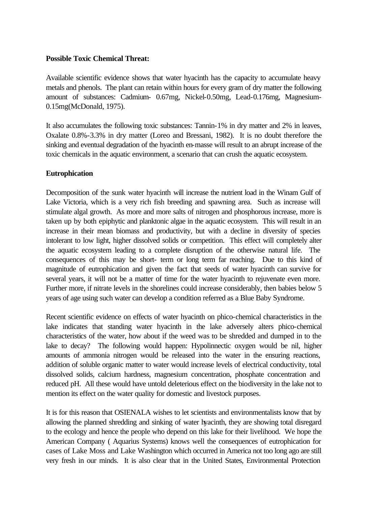#### **Possible Toxic Chemical Threat:**

Available scientific evidence shows that water hyacinth has the capacity to accumulate heavy metals and phenols. The plant can retain within hours for every gram of dry matter the following amount of substances: Cadmium- 0.67mg, Nickel-0.50mg, Lead-0.176mg, Magnesium-0.15mg(McDonald, 1975).

It also accumulates the following toxic substances: Tannin-1% in dry matter and 2% in leaves, Oxalate 0.8%-3.3% in dry matter (Loreo and Bressani, 1982). It is no doubt therefore the sinking and eventual degradation of the hyacinth en-masse will result to an abrupt increase of the toxic chemicals in the aquatic environment, a scenario that can crush the aquatic ecosystem.

#### **Eutrophication**

Decomposition of the sunk water hyacinth will increase the nutrient load in the Winam Gulf of Lake Victoria, which is a very rich fish breeding and spawning area. Such as increase will stimulate algal growth. As more and more salts of nitrogen and phosphorous increase, more is taken up by both epiphytic and planktonic algae in the aquatic ecosystem. This will result in an increase in their mean biomass and productivity, but with a decline in diversity of species intolerant to low light, higher dissolved solids or competition. This effect will completely alter the aquatic ecosystem leading to a complete disruption of the otherwise natural life. The consequences of this may be short- term or long term far reaching. Due to this kind of magnitude of eutrophication and given the fact that seeds of water hyacinth can survive for several years, it will not be a matter of time for the water hyacinth to rejuvenate even more. Further more, if nitrate levels in the shorelines could increase considerably, then babies below 5 years of age using such water can develop a condition referred as a Blue Baby Syndrome.

Recent scientific evidence on effects of water hyacinth on phico-chemical characteristics in the lake indicates that standing water hyacinth in the lake adversely alters phico-chemical characteristics of the water, how about if the weed was to be shredded and dumped in to the lake to decay? The following would happen: Hypolinnectic oxygen would be nil, higher amounts of ammonia nitrogen would be released into the water in the ensuring reactions, addition of soluble organic matter to water would increase levels of electrical conductivity, total dissolved solids, calcium hardness, magnesium concentration, phosphate concentration and reduced pH. All these would have untold deleterious effect on the biodiversity in the lake not to mention its effect on the water quality for domestic and livestock purposes.

It is for this reason that OSIENALA wishes to let scientists and environmentalists know that by allowing the planned shredding and sinking of water hyacinth, they are showing total disregard to the ecology and hence the people who depend on this lake for their livelihood. We hope the American Company ( Aquarius Systems) knows well the consequences of eutrophication for cases of Lake Moss and Lake Washington which occurred in America not too long ago are still very fresh in our minds. It is also clear that in the United States, Environmental Protection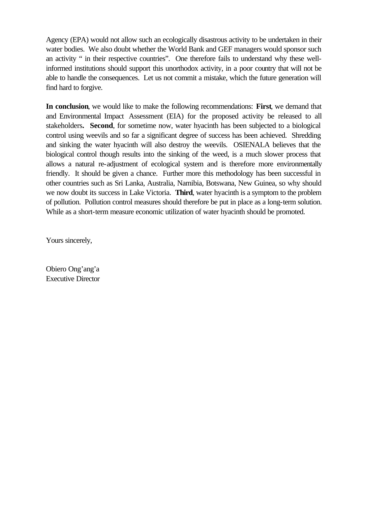Agency (EPA) would not allow such an ecologically disastrous activity to be undertaken in their water bodies. We also doubt whether the World Bank and GEF managers would sponsor such an activity " in their respective countries". One therefore fails to understand why these wellinformed institutions should support this unorthodox activity, in a poor country that will not be able to handle the consequences. Let us not commit a mistake, which the future generation will find hard to forgive.

**In conclusion**, we would like to make the following recommendations: **First**, we demand that and Environmental Impact Assessment (EIA) for the proposed activity be released to all stakeholders**. Second**, for sometime now, water hyacinth has been subjected to a biological control using weevils and so far a significant degree of success has been achieved. Shredding and sinking the water hyacinth will also destroy the weevils. OSIENALA believes that the biological control though results into the sinking of the weed, is a much slower process that allows a natural re-adjustment of ecological system and is therefore more environmentally friendly. It should be given a chance. Further more this methodology has been successful in other countries such as Sri Lanka, Australia, Namibia, Botswana, New Guinea, so why should we now doubt its success in Lake Victoria. **Third**, water hyacinth is a symptom to the problem of pollution. Pollution control measures should therefore be put in place as a long-term solution. While as a short-term measure economic utilization of water hyacinth should be promoted.

Yours sincerely,

Obiero Ong'ang'a Executive Director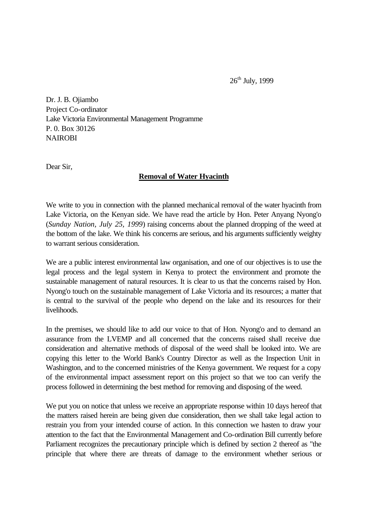$26<sup>th</sup>$  July, 1999

Dr. J. B. Ojiambo Project Co-ordinator Lake Victoria Environmental Management Programme P. 0. Box 30126 **NAIROBI** 

Dear Sir,

#### **Removal of Water Hyacinth**

We write to you in connection with the planned mechanical removal of the water hyacinth from Lake Victoria, on the Kenyan side. We have read the article by Hon. Peter Anyang Nyong'o (*Sunday Nation, July 25, 1999*) raising concerns about the planned dropping of the weed at the bottom of the lake. We think his concerns are serious, and his arguments sufficiently weighty to warrant serious consideration.

We are a public interest environmental law organisation, and one of our objectives is to use the legal process and the legal system in Kenya to protect the environment and promote the sustainable management of natural resources. It is clear to us that the concerns raised by Hon. Nyong'o touch on the sustainable management of Lake Victoria and its resources; a matter that is central to the survival of the people who depend on the lake and its resources for their livelihoods.

In the premises, we should like to add our voice to that of Hon. Nyong'o and to demand an assurance from the LVEMP and all concerned that the concerns raised shall receive due consideration and alternative methods of disposal of the weed shall be looked into. We are copying this letter to the World Bank's Country Director as well as the Inspection Unit in Washington, and to the concerned ministries of the Kenya government. We request for a copy of the environmental impact assessment report on this project so that we too can verify the process followed in determining the best method for removing and disposing of the weed.

We put you on notice that unless we receive an appropriate response within 10 days hereof that the matters raised herein are being given due consideration, then we shall take legal action to restrain you from your intended course of action. In this connection we hasten to draw your attention to the fact that the Environmental Management and Co-ordination Bill currently before Parliament recognizes the precautionary principle which is defined by section 2 thereof as "the principle that where there are threats of damage to the environment whether serious or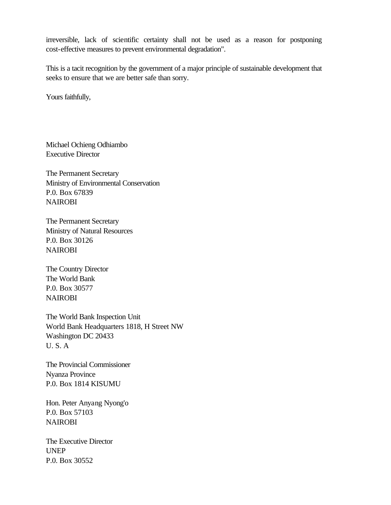irreversible, lack of scientific certainty shall not be used as a reason for postponing cost-effective measures to prevent environmental degradation".

This is a tacit recognition by the government of a major principle of sustainable development that seeks to ensure that we are better safe than sorry.

Yours faithfully,

Michael Ochieng Odhiambo Executive Director

The Permanent Secretary Ministry of Environmental Conservation P.0. Box 67839 **NAIROBI** 

The Permanent Secretary Ministry of Natural Resources P.0. Box 30126 **NAIROBI** 

The Country Director The World Bank P.0. Box 30577 NAIROBI

The World Bank Inspection Unit World Bank Headquarters 1818, H Street NW Washington DC 20433 U. S. A

The Provincial Commissioner Nyanza Province P.0. Box 1814 KISUMU

Hon. Peter Anyang Nyong'o P.0. Box 57103 **NAIROBI** 

The Executive Director UNEP P.0. Box 30552